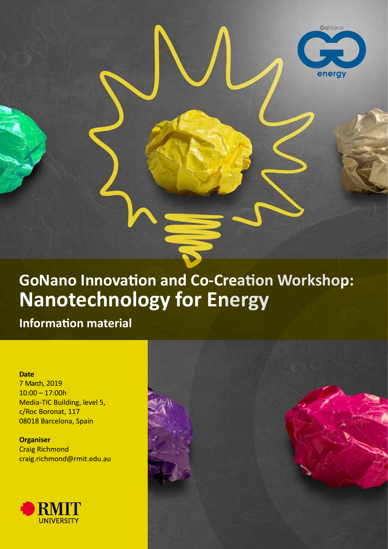

**Information material**

**Date**

7 March, 2019 10:00 – 17:00h Media-TIC Building, level 5, c/Roc Boronat, 117 08018 Barcelona, Spain

**Organiser** Craig Richmond craig.richmond@rmit.edu.au





GoNano

energy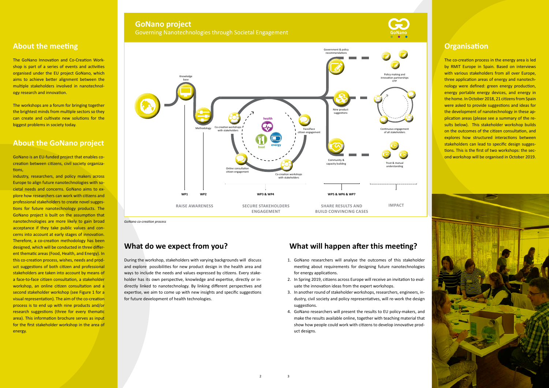### **About the meeting**

The GoNano Innovation and Co-Creation Workshop is part of a series of events and activities organised under the EU project GoNano, which aims to achieve better alignment between the multiple stakeholders involved in nanotechnology research and innovation.

The workshops are a forum for bringing together the brightest minds from multiple sectors so they can create and cultivate new solutions for the biggest problems in society today.

### **About the GoNano project**

GoNano is an EU-funded project that enables cocreation between citizens, civil society organizations,

industry, researchers, and policy makers across Europe to align future nanotechnologies with societal needs and concerns. GoNano aims to explore how researchers can work with citizens and professional stakeholders to create novel suggestions for future nanotechnology products. The GoNano project is built on the assumption that nanotechnologies are more likely to gain broad acceptance if they take public values and concerns into account at early stages of innovation. Therefore, a co-creation methodology has been designed, which will be conducted in three different thematic areas (Food, Health, and Energy). In this co-creation process, wishes, needs and product suggestions of both citizen and professional stakeholders are taken into account by means of a face-to-face citizen consultation, a stakeholder workshop, an online citizen consultation and a second stakeholder workshop (see Figure 1 for a visual representation). The aim of the co-creation process is to end up with nine products and/or research suggestions (three for every thematic area). This information brochure serves as input for the first stakeholder workshop in the area of energy.

### **What do we expect from you?**

### **GoNano project GoNano project** Governing Nanotechnologies through Societal Engagement **Governing Conano** GoNano

During the workshop, stakeholders with varying backgrounds will discuss and explore possibilities for new product design in the health area and ways to include the needs and values expressed by citizens. Every stakeholder has its own perspective, knowledge and expertise, directly or indirectly linked to nanotechnology. By linking different perspectives and expertise, we aim to come up with new insights and specific suggestions for future development of health technologies.

## **What will happen after this meeting?**

- 1. GoNano researchers will analyse the outcomes of this stakeholder meeting about requirements for designing future nanotechnologies for energy applications.
- 2. In Spring 2019, citizens across Europe will receive an invitation to evaluate the innovation ideas from the expert workshops.
- 3. In another round of stakeholder workshops, researchers, engineers, industry, civil society and policy representatives, will re-work the design suggestions.
- 4. GoNano researchers will present the results to EU policy-makers, and make the results available online, together with teaching material that show how people could work with citizens to develop innovative product designs.

### **Organisation**

The co-creation process in the energy area is led by RMIT Europe in Spain. Based on interviews with various stakeholders from all over Europe, three application areas of energy and nanotechnology were defined: green energy production, energy portable energy devices, and energy in the home. In October 2018, 21 citizens from Spain were asked to provide suggestions and ideas for the development of nanotechnology in these application areas (please see a summary of the results below). This stakeholder workshop builds on the outcomes of the citizen consultation, and explores how structured interactions between stakeholders can lead to specific design suggestions. This is the first of two workshops: the second workshop will be organised in October 2019.





*GoNano co-creation process*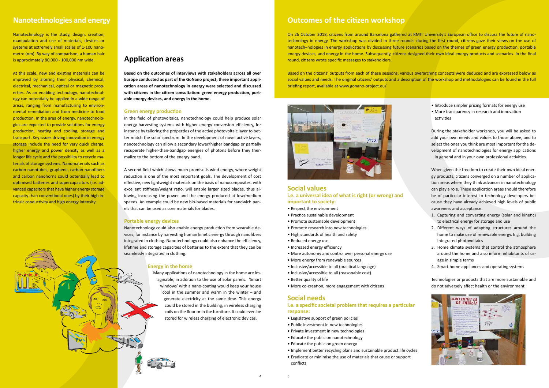At this scale, new and existing materials can be improved by altering their physical, chemical, electrical, mechanical, optical or magnetic properties. As an enabling technology, nanotechnology can potentially be applied in a wide range of areas, ranging from manufacturing to environmental remediation and from medicine to food production. In the area of energy, nanotechnologies are expected to provide solutions for energy production, heating and cooling, storage and transport. Key issues driving innovation in energy storage include the need for very quick charge, higher energy and power density as well as a longer life cycle and the possibility to recycle materials of storage systems. Nanomaterials such as carbon nanotubes, graphene, carbon nanofibers and carbon nanohorns could potentially lead to optimised batteries and supercapacitors (i.e. advanced capacitors that have higher energy storage capacity than conventional ones) by their high intrinsic conductivity and high energy intensity. cup of coffee and check the news. He looks around to new set  $\frac{1}{\sqrt{2}}$  is still one of the laptop is strange. That is strange. out to see what is happening. And the see what is happening. And the see what is happening. And the see what is

Nanotechnology is the study, design, creation, manipulation and use of materials, devices or systems at extremely small scales of 1-100 nanometre (nm). By way of comparison, a human hair is approximately 80,000 - 100,000 nm wide.

### **Application areas**

**Based on the outcomes of interviews with stakeholders across all over Europe conducted as part of the GoNano project, three important application areas of nanotechnology in energy were selected and discussed with citizens in the citizen consultation: green energy production, portable energy devices, and energy in the home.** 

**Example 20 Manotechnology could also enable energy production from wearable de**vices, for instance by harvesting human kinetic energy through nanofibers integrated in clothing. Nanotechnology could also enhance the efficiency, lifetime and storage capacities of batteries to the extent that they can be seamlessly integrated in clothing.

#### **Green energy production**

In the field of photovoltaics, nanotechnology could help produce solar energy harvesting systems with higher energy conversion efficiency, for instance by tailoring the properties of the active photovoltaic layer to better match the solar spectrum. In the development of novel active layers, nanotechnology can allow a secondary lower/higher bandgap or partially recuperate higher-than-bandgap energies of photons before they thermalize to the bottom of the energy band.

#### **Energy in the home**

Many applications of nanotechnology in the home are imaginable, in addition to the use of solar panels. 'Smart windows' with a nano-coating would keep your house cool in the summer and warm in the winter – and generate electricity at the same time. This energy could be stored in the building, in wireless charging coils on the floor or in the furniture. It could even be stored for wireless charging of electronic devices.

### **Nanotechnologies and energy**

#### **Social values i.e. a universal idea of what is right (or wrong) and**

#### **important to society:**

- Respect the environment
- Practice sustainable development
- Promote sustainable development
- Promote research into new technologies
- High standards of health and safety
- Reduced energy use
- Increased energy efficiency
- More autonomy and control over personal energy use
- More energy from renewable sources
- Inclusive/accessible to all (practical language)
- Inclusive/accessible to all (reasonable cost)
- Better quality of life
- More co-creation, more engagement with citizens

rs **the Second field which shows much promise is wind energy, where weight b** reduction is one of the most important goals. The development of cost effective, new lightweight materials on the basis of nanocomposites, with e a sexcellent stiffness/weight ratio, will enable larger sized blades, thus al-1- lowing increasing the power and the energy produced at low/medium speeds. An example could be new bio-based materials for sandwich pan-There we had can be used as core materials for blades. I<sup>t</sup> the first time, the wildfilling friends told her that if the country's energy control sys-

#### **Portable energy devices** to check if the garage to check if the care  $\mathbf{r}$

### **Social needs**

#### **i.e. a specific societal problem that requires a particular response:**

- Legislative support of green policies
- Public investment in new technologies
- Private investment in new technologies
- Educate the public on nanotechnology
- Educate the public on green energy
- Implement better recycling plans and sustainable product life cycles
- Eradicate or minimise the use of materials that cause or support conflicts

### **Outcomes of the citizen workshop**

On 26 October 2018, citizens from around Barcelona gathered at RMIT University's European office to discuss the future of nanotechnology in energy. The workshop was divided in three rounds: during the first round, citizens gave their views on the use of nanotech¬nologies in energy applications by discussing future scenarios based on the themes of green energy production, portable energy devices, and energy in the home. Subsequently, citizens designed their own ideal energy products and scenarios. In the final round, citizens wrote specific messages to stakeholders.

Based on the citizens' outputs from each of these sessions, various overarching concepts were deduced and are expressed below as social values and needs. The original citizens' outputs and a description of the workshop and methodologies can be found in the full briefing report, available at www.gonano-project.eu/



- Introduce simpler pricing formats for energy use
- More transparency in research and innovation activities

During the stakeholder workshop, you will be asked to add your own needs and values to those above, and to select the ones you think are most important for the development of nanotechnologies for energy applications – in general and in your own professional activities.

When given the freedom to create their own ideal energy products, citizens converged on a number of application areas where they think advances in nanotechnology can play a role. These application areas should therefore be of particular interest to technology developers because they have already achieved high levels of public awareness and acceptance.

- 1. Capturing and converting energy (solar and kinetic) to electrical energy for storage and use
- 2. Different ways of adapting structures around the home to make use of renewable energy. E.g. building Integrated photovoltaics
- 3. Home climate systems that control the atmosphere around the home and also inform inhabitants of usage in simple terms
- 4. Smart home appliances and operating systems

Technologies or products that are more sustainable and do not adversely affect health or the environment



conditioning. Andrew looks at her and tells her to calm